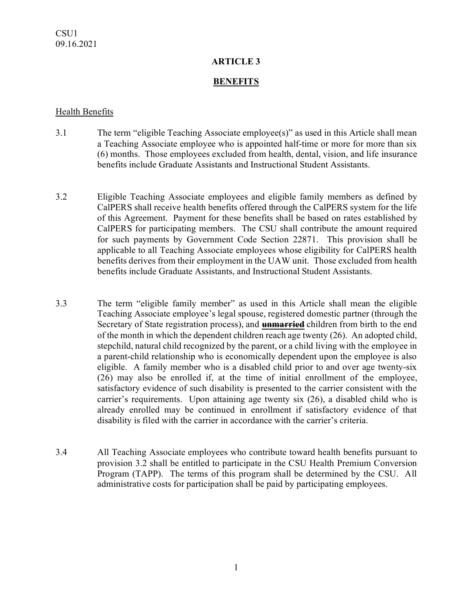### **ARTICLE 3**

### **BENEFITS**

#### Health Benefits

- 3.1 The term "eligible Teaching Associate employee(s)" as used in this Article shall mean a Teaching Associate employee who is appointed half-time or more for more than six (6) months. Those employees excluded from health, dental, vision, and life insurance benefits include Graduate Assistants and Instructional Student Assistants.
- 3.2 Eligible Teaching Associate employees and eligible family members as defined by CalPERS shall receive health benefits offered through the CalPERS system for the life of this Agreement. Payment for these benefits shall be based on rates established by CalPERS for participating members. The CSU shall contribute the amount required for such payments by Government Code Section 22871. This provision shall be applicable to all Teaching Associate employees whose eligibility for CalPERS health benefits derives from their employment in the UAW unit. Those excluded from health benefits include Graduate Assistants, and Instructional Student Assistants.
- 3.3 The term "eligible family member" as used in this Article shall mean the eligible Teaching Associate employee's legal spouse, registered domestic partner (through the Secretary of State registration process), and **unmarried** children from birth to the end of the month in which the dependent children reach age twenty (26). An adopted child, stepchild, natural child recognized by the parent, or a child living with the employee in a parent-child relationship who is economically dependent upon the employee is also eligible. A family member who is a disabled child prior to and over age twenty-six (26) may also be enrolled if, at the time of initial enrollment of the employee, satisfactory evidence of such disability is presented to the carrier consistent with the carrier's requirements. Upon attaining age twenty six (26), a disabled child who is already enrolled may be continued in enrollment if satisfactory evidence of that disability is filed with the carrier in accordance with the carrier's criteria.
- 3.4 All Teaching Associate employees who contribute toward health benefits pursuant to provision 3.2 shall be entitled to participate in the CSU Health Premium Conversion Program (TAPP). The terms of this program shall be determined by the CSU. All administrative costs for participation shall be paid by participating employees.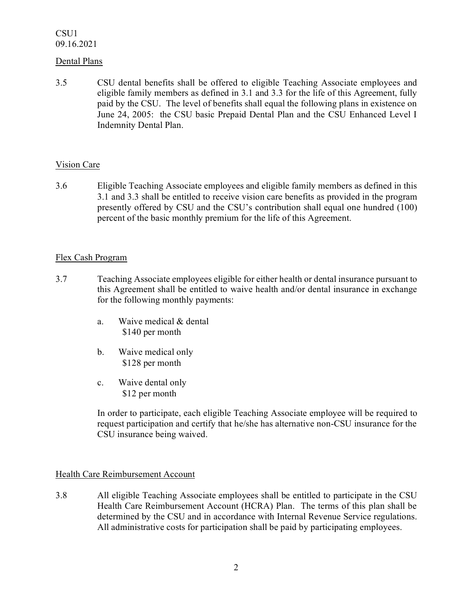CSU1 09.16.2021

### Dental Plans

3.5 CSU dental benefits shall be offered to eligible Teaching Associate employees and eligible family members as defined in 3.1 and 3.3 for the life of this Agreement, fully paid by the CSU. The level of benefits shall equal the following plans in existence on June 24, 2005: the CSU basic Prepaid Dental Plan and the CSU Enhanced Level I Indemnity Dental Plan.

### Vision Care

3.6 Eligible Teaching Associate employees and eligible family members as defined in this 3.1 and 3.3 shall be entitled to receive vision care benefits as provided in the program presently offered by CSU and the CSU's contribution shall equal one hundred (100) percent of the basic monthly premium for the life of this Agreement.

### Flex Cash Program

- 3.7 Teaching Associate employees eligible for either health or dental insurance pursuant to this Agreement shall be entitled to waive health and/or dental insurance in exchange for the following monthly payments:
	- a. Waive medical & dental \$140 per month
	- b. Waive medical only \$128 per month
	- c. Waive dental only \$12 per month

In order to participate, each eligible Teaching Associate employee will be required to request participation and certify that he/she has alternative non-CSU insurance for the CSU insurance being waived.

### Health Care Reimbursement Account

3.8 All eligible Teaching Associate employees shall be entitled to participate in the CSU Health Care Reimbursement Account (HCRA) Plan. The terms of this plan shall be determined by the CSU and in accordance with Internal Revenue Service regulations. All administrative costs for participation shall be paid by participating employees.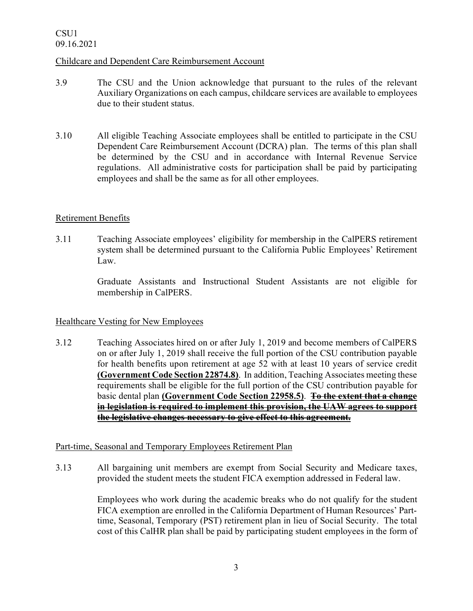# CSU1 09.16.2021

### Childcare and Dependent Care Reimbursement Account

- 3.9 The CSU and the Union acknowledge that pursuant to the rules of the relevant Auxiliary Organizations on each campus, childcare services are available to employees due to their student status.
- 3.10 All eligible Teaching Associate employees shall be entitled to participate in the CSU Dependent Care Reimbursement Account (DCRA) plan. The terms of this plan shall be determined by the CSU and in accordance with Internal Revenue Service regulations. All administrative costs for participation shall be paid by participating employees and shall be the same as for all other employees.

### Retirement Benefits

3.11 Teaching Associate employees' eligibility for membership in the CalPERS retirement system shall be determined pursuant to the California Public Employees' Retirement Law.

> Graduate Assistants and Instructional Student Assistants are not eligible for membership in CalPERS.

### Healthcare Vesting for New Employees

3.12 Teaching Associates hired on or after July 1, 2019 and become members of CalPERS on or after July 1, 2019 shall receive the full portion of the CSU contribution payable for health benefits upon retirement at age 52 with at least 10 years of service credit **(Government Code Section 22874.8)**. In addition, Teaching Associates meeting these requirements shall be eligible for the full portion of the CSU contribution payable for basic dental plan **(Government Code Section 22958.5)**. **To the extent that a change in legislation is required to implement this provision, the UAW agrees to support the legislative changes necessary to give effect to this agreement.**

# Part-time, Seasonal and Temporary Employees Retirement Plan

3.13 All bargaining unit members are exempt from Social Security and Medicare taxes, provided the student meets the student FICA exemption addressed in Federal law.

> Employees who work during the academic breaks who do not qualify for the student FICA exemption are enrolled in the California Department of Human Resources' Parttime, Seasonal, Temporary (PST) retirement plan in lieu of Social Security. The total cost of this CalHR plan shall be paid by participating student employees in the form of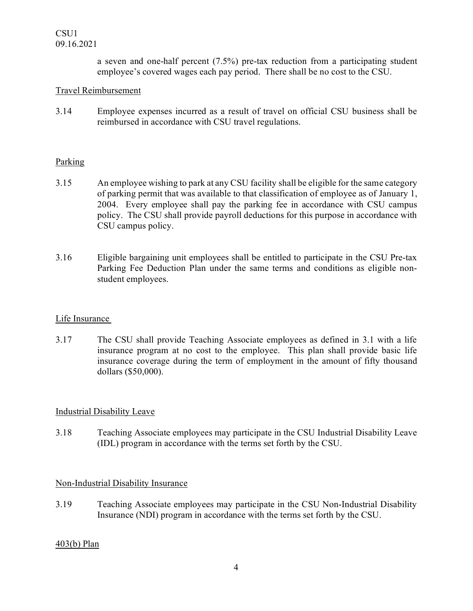a seven and one-half percent (7.5%) pre-tax reduction from a participating student employee's covered wages each pay period. There shall be no cost to the CSU.

## Travel Reimbursement

3.14 Employee expenses incurred as a result of travel on official CSU business shall be reimbursed in accordance with CSU travel regulations.

### Parking

- 3.15 An employee wishing to park at any CSU facility shall be eligible for the same category of parking permit that was available to that classification of employee as of January 1, 2004. Every employee shall pay the parking fee in accordance with CSU campus policy. The CSU shall provide payroll deductions for this purpose in accordance with CSU campus policy.
- 3.16 Eligible bargaining unit employees shall be entitled to participate in the CSU Pre-tax Parking Fee Deduction Plan under the same terms and conditions as eligible nonstudent employees.

### Life Insurance

3.17 The CSU shall provide Teaching Associate employees as defined in 3.1 with a life insurance program at no cost to the employee. This plan shall provide basic life insurance coverage during the term of employment in the amount of fifty thousand dollars (\$50,000).

# Industrial Disability Leave

3.18 Teaching Associate employees may participate in the CSU Industrial Disability Leave (IDL) program in accordance with the terms set forth by the CSU.

### Non-Industrial Disability Insurance

3.19 Teaching Associate employees may participate in the CSU Non-Industrial Disability Insurance (NDI) program in accordance with the terms set forth by the CSU.

### 403(b) Plan